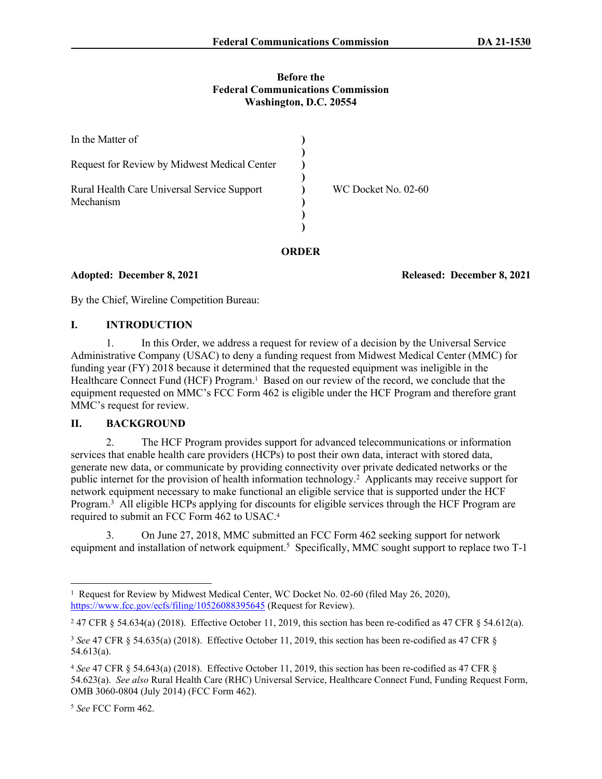#### **Before the Federal Communications Commission Washington, D.C. 20554**

| In the Matter of                                         |                     |
|----------------------------------------------------------|---------------------|
| Request for Review by Midwest Medical Center             |                     |
| Rural Health Care Universal Service Support<br>Mechanism | WC Docket No. 02-60 |
|                                                          |                     |

## **ORDER**

**Adopted: December 8, 2021 Released: December 8, 2021**

By the Chief, Wireline Competition Bureau:

## **I. INTRODUCTION**

1. In this Order, we address a request for review of a decision by the Universal Service Administrative Company (USAC) to deny a funding request from Midwest Medical Center (MMC) for funding year (FY) 2018 because it determined that the requested equipment was ineligible in the Healthcare Connect Fund (HCF) Program.<sup>1</sup> Based on our review of the record, we conclude that the equipment requested on MMC's FCC Form 462 is eligible under the HCF Program and therefore grant MMC's request for review.

# **II. BACKGROUND**

2. The HCF Program provides support for advanced telecommunications or information services that enable health care providers (HCPs) to post their own data, interact with stored data, generate new data, or communicate by providing connectivity over private dedicated networks or the public internet for the provision of health information technology.<sup>2</sup> Applicants may receive support for network equipment necessary to make functional an eligible service that is supported under the HCF Program.<sup>3</sup> All eligible HCPs applying for discounts for eligible services through the HCF Program are required to submit an FCC Form 462 to USAC.<sup>4</sup>

3. On June 27, 2018, MMC submitted an FCC Form 462 seeking support for network equipment and installation of network equipment.<sup>5</sup> Specifically, MMC sought support to replace two T-1

<sup>&</sup>lt;sup>1</sup> Request for Review by Midwest Medical Center, WC Docket No. 02-60 (filed May 26, 2020), <https://www.fcc.gov/ecfs/filing/10526088395645>(Request for Review).

<sup>&</sup>lt;sup>2</sup> 47 CFR § 54.634(a) (2018). Effective October 11, 2019, this section has been re-codified as 47 CFR § 54.612(a).

<sup>3</sup> *See* 47 CFR § 54.635(a) (2018). Effective October 11, 2019, this section has been re-codified as 47 CFR § 54.613(a).

<sup>4</sup> *See* 47 CFR § 54.643(a) (2018). Effective October 11, 2019, this section has been re-codified as 47 CFR § 54.623(a). *See also* Rural Health Care (RHC) Universal Service, Healthcare Connect Fund, Funding Request Form, OMB 3060-0804 (July 2014) (FCC Form 462).

<sup>5</sup> *See* FCC Form 462.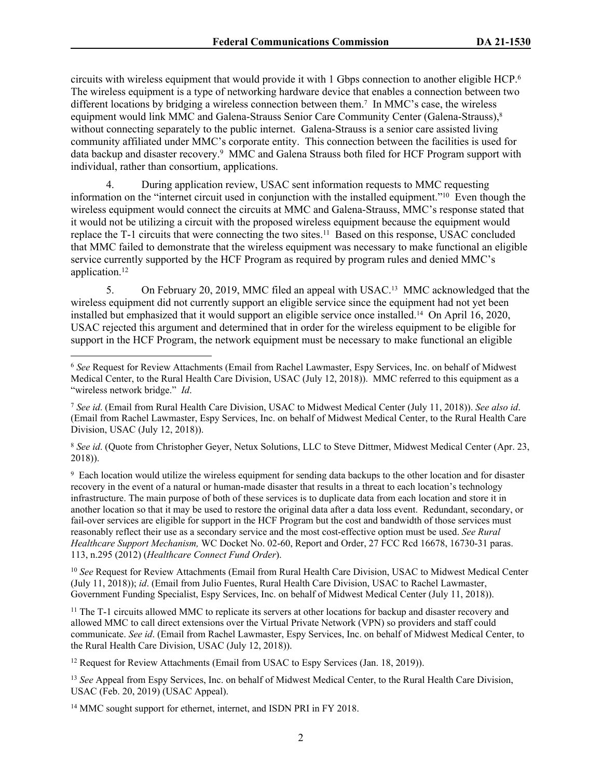circuits with wireless equipment that would provide it with 1 Gbps connection to another eligible HCP.<sup>6</sup> The wireless equipment is a type of networking hardware device that enables a connection between two different locations by bridging a wireless connection between them.<sup>7</sup> In MMC's case, the wireless equipment would link MMC and Galena-Strauss Senior Care Community Center (Galena-Strauss),<sup>8</sup> without connecting separately to the public internet. Galena-Strauss is a senior care assisted living community affiliated under MMC's corporate entity. This connection between the facilities is used for data backup and disaster recovery.<sup>9</sup> MMC and Galena Strauss both filed for HCF Program support with individual, rather than consortium, applications.

During application review, USAC sent information requests to MMC requesting information on the "internet circuit used in conjunction with the installed equipment."<sup>10</sup> Even though the wireless equipment would connect the circuits at MMC and Galena-Strauss, MMC's response stated that it would not be utilizing a circuit with the proposed wireless equipment because the equipment would replace the T-1 circuits that were connecting the two sites.<sup>11</sup> Based on this response, USAC concluded that MMC failed to demonstrate that the wireless equipment was necessary to make functional an eligible service currently supported by the HCF Program as required by program rules and denied MMC's application.<sup>12</sup>

5. On February 20, 2019, MMC filed an appeal with USAC.13 MMC acknowledged that the wireless equipment did not currently support an eligible service since the equipment had not yet been installed but emphasized that it would support an eligible service once installed.14 On April 16, 2020, USAC rejected this argument and determined that in order for the wireless equipment to be eligible for support in the HCF Program, the network equipment must be necessary to make functional an eligible

<sup>7</sup> *See id*. (Email from Rural Health Care Division, USAC to Midwest Medical Center (July 11, 2018)). *See also id*. (Email from Rachel Lawmaster, Espy Services, Inc. on behalf of Midwest Medical Center, to the Rural Health Care Division, USAC (July 12, 2018)).

<sup>8</sup> *See id*. (Quote from Christopher Geyer, Netux Solutions, LLC to Steve Dittmer, Midwest Medical Center (Apr. 23, 2018)).

9 Each location would utilize the wireless equipment for sending data backups to the other location and for disaster recovery in the event of a natural or human-made disaster that results in a threat to each location's technology infrastructure. The main purpose of both of these services is to duplicate data from each location and store it in another location so that it may be used to restore the original data after a data loss event. Redundant, secondary, or fail-over services are eligible for support in the HCF Program but the cost and bandwidth of those services must reasonably reflect their use as a secondary service and the most cost-effective option must be used. *See Rural Healthcare Support Mechanism,* WC Docket No. 02-60, Report and Order, 27 FCC Rcd 16678, 16730-31 paras. 113, n.295 (2012) (*Healthcare Connect Fund Order*).

<sup>10</sup> *See* Request for Review Attachments (Email from Rural Health Care Division, USAC to Midwest Medical Center (July 11, 2018)); *id*. (Email from Julio Fuentes, Rural Health Care Division, USAC to Rachel Lawmaster, Government Funding Specialist, Espy Services, Inc. on behalf of Midwest Medical Center (July 11, 2018)).

<sup>11</sup> The T-1 circuits allowed MMC to replicate its servers at other locations for backup and disaster recovery and allowed MMC to call direct extensions over the Virtual Private Network (VPN) so providers and staff could communicate. *See id*. (Email from Rachel Lawmaster, Espy Services, Inc. on behalf of Midwest Medical Center, to the Rural Health Care Division, USAC (July 12, 2018)).

<sup>12</sup> Request for Review Attachments (Email from USAC to Espy Services (Jan. 18, 2019)).

<sup>13</sup> See Appeal from Espy Services, Inc. on behalf of Midwest Medical Center, to the Rural Health Care Division, USAC (Feb. 20, 2019) (USAC Appeal).

<sup>14</sup> MMC sought support for ethernet, internet, and ISDN PRI in FY 2018.

<sup>6</sup> *See* Request for Review Attachments (Email from Rachel Lawmaster, Espy Services, Inc. on behalf of Midwest Medical Center, to the Rural Health Care Division, USAC (July 12, 2018)). MMC referred to this equipment as a "wireless network bridge." *Id*.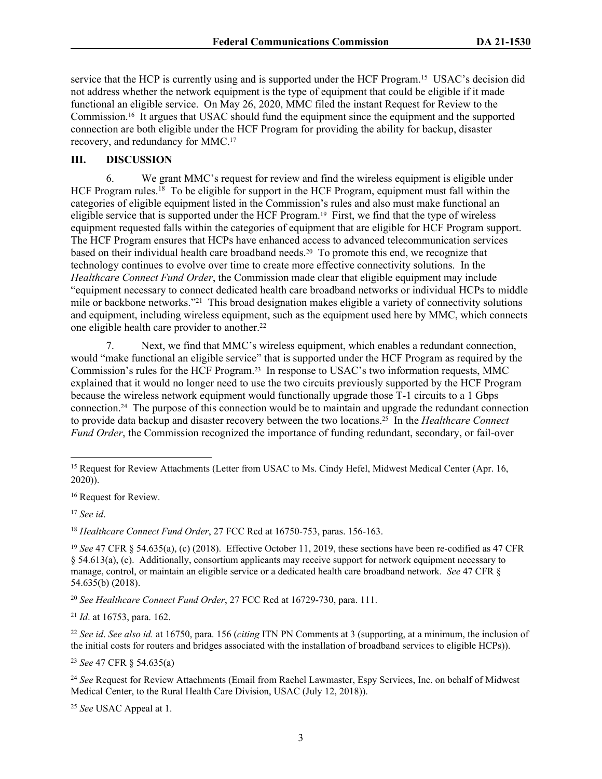service that the HCP is currently using and is supported under the HCF Program.<sup>15</sup> USAC's decision did not address whether the network equipment is the type of equipment that could be eligible if it made functional an eligible service. On May 26, 2020, MMC filed the instant Request for Review to the Commission.16 It argues that USAC should fund the equipment since the equipment and the supported connection are both eligible under the HCF Program for providing the ability for backup, disaster recovery, and redundancy for MMC.<sup>17</sup>

### **III. DISCUSSION**

6. We grant MMC's request for review and find the wireless equipment is eligible under HCF Program rules.<sup>18</sup> To be eligible for support in the HCF Program, equipment must fall within the categories of eligible equipment listed in the Commission's rules and also must make functional an eligible service that is supported under the HCF Program.19 First, we find that the type of wireless equipment requested falls within the categories of equipment that are eligible for HCF Program support. The HCF Program ensures that HCPs have enhanced access to advanced telecommunication services based on their individual health care broadband needs.20 To promote this end, we recognize that technology continues to evolve over time to create more effective connectivity solutions. In the *Healthcare Connect Fund Order*, the Commission made clear that eligible equipment may include "equipment necessary to connect dedicated health care broadband networks or individual HCPs to middle mile or backbone networks."<sup>21</sup> This broad designation makes eligible a variety of connectivity solutions and equipment, including wireless equipment, such as the equipment used here by MMC, which connects one eligible health care provider to another.<sup>22</sup>

7. Next, we find that MMC's wireless equipment, which enables a redundant connection, would "make functional an eligible service" that is supported under the HCF Program as required by the Commission's rules for the HCF Program.23 In response to USAC's two information requests, MMC explained that it would no longer need to use the two circuits previously supported by the HCF Program because the wireless network equipment would functionally upgrade those T-1 circuits to a 1 Gbps connection.24 The purpose of this connection would be to maintain and upgrade the redundant connection to provide data backup and disaster recovery between the two locations.25 In the *Healthcare Connect Fund Order*, the Commission recognized the importance of funding redundant, secondary, or fail-over

<sup>18</sup> *Healthcare Connect Fund Order*, 27 FCC Rcd at 16750-753, paras. 156-163.

<sup>20</sup> *See Healthcare Connect Fund Order*, 27 FCC Rcd at 16729-730, para. 111.

<sup>21</sup> *Id*. at 16753, para. 162.

<sup>22</sup> *See id*. *See also id.* at 16750, para. 156 (*citing* ITN PN Comments at 3 (supporting, at a minimum, the inclusion of the initial costs for routers and bridges associated with the installation of broadband services to eligible HCPs)).

<sup>23</sup> *See* 47 CFR § 54.635(a)

<sup>24</sup> *See* Request for Review Attachments (Email from Rachel Lawmaster, Espy Services, Inc. on behalf of Midwest Medical Center, to the Rural Health Care Division, USAC (July 12, 2018)).

<sup>25</sup> *See* USAC Appeal at 1.

<sup>15</sup> Request for Review Attachments (Letter from USAC to Ms. Cindy Hefel, Midwest Medical Center (Apr. 16, 2020)).

<sup>16</sup> Request for Review.

<sup>17</sup> *See id*.

<sup>&</sup>lt;sup>19</sup> *See* 47 CFR § 54.635(a), (c) (2018). Effective October 11, 2019, these sections have been re-codified as 47 CFR § 54.613(a), (c). Additionally, consortium applicants may receive support for network equipment necessary to manage, control, or maintain an eligible service or a dedicated health care broadband network. *See* 47 CFR § 54.635(b) (2018).